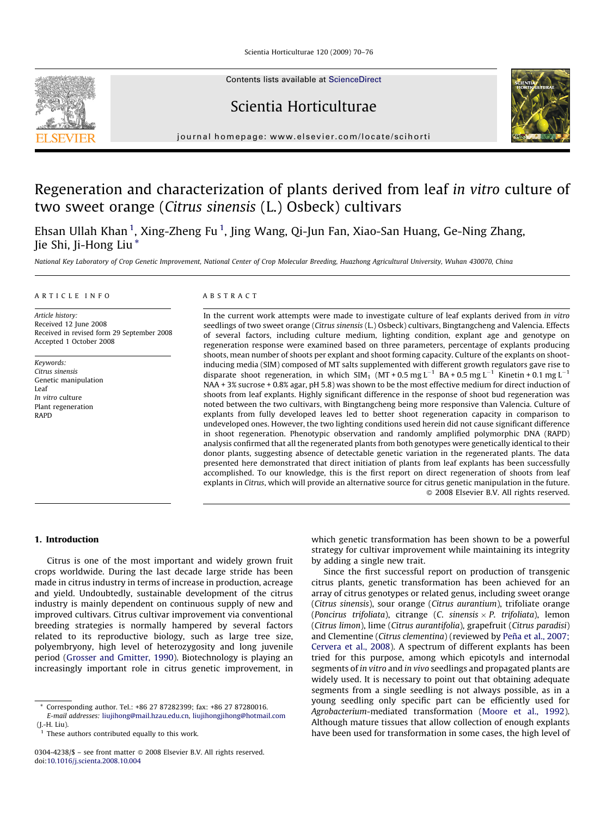Scientia Horticulturae 120 (2009) 70–76

Contents lists available at [ScienceDirect](http://www.sciencedirect.com/science/journal/03044238)

Scientia Horticulturae



journal homepage: www.elsevier.com/locate/scihorti

# Regeneration and characterization of plants derived from leaf in vitro culture of two sweet orange (Citrus sinensis (L.) Osbeck) cultivars

Ehsan Ullah Khan <sup>1</sup>, Xing-Zheng Fu <sup>1</sup>, Jing Wang, Qi-Jun Fan, Xiao-San Huang, Ge-Ning Zhang, Jie Shi, Ji-Hong Liu \*

National Key Laboratory of Crop Genetic Improvement, National Center of Crop Molecular Breeding, Huazhong Agricultural University, Wuhan 430070, China

# ARTICLE INFO

Article history: Received 12 June 2008 Received in revised form 29 September 2008 Accepted 1 October 2008

Keywords: Citrus sinensis Genetic manipulation Leaf In vitro culture Plant regeneration RAPD

#### ABSTRACT

In the current work attempts were made to investigate culture of leaf explants derived from in vitro seedlings of two sweet orange (Citrus sinensis (L.) Osbeck) cultivars, Bingtangcheng and Valencia. Effects of several factors, including culture medium, lighting condition, explant age and genotype on regeneration response were examined based on three parameters, percentage of explants producing shoots, mean number of shoots per explant and shoot forming capacity. Culture of the explants on shootinducing media (SIM) composed of MT salts supplemented with different growth regulators gave rise to disparate shoot regeneration, in which  $SIM_1 (MT + 0.5 mg L^{-1} BA + 0.5 mg L^{-1}$  Kinetin + 0.1 mg L<sup>-1</sup> NAA + 3% sucrose + 0.8% agar, pH 5.8) was shown to be the most effective medium for direct induction of shoots from leaf explants. Highly significant difference in the response of shoot bud regeneration was noted between the two cultivars, with Bingtangcheng being more responsive than Valencia. Culture of explants from fully developed leaves led to better shoot regeneration capacity in comparison to undeveloped ones. However, the two lighting conditions used herein did not cause significant difference in shoot regeneration. Phenotypic observation and randomly amplified polymorphic DNA (RAPD) analysis confirmed that all the regenerated plants from both genotypes were genetically identical to their donor plants, suggesting absence of detectable genetic variation in the regenerated plants. The data presented here demonstrated that direct initiation of plants from leaf explants has been successfully accomplished. To our knowledge, this is the first report on direct regeneration of shoots from leaf explants in Citrus, which will provide an alternative source for citrus genetic manipulation in the future. - 2008 Elsevier B.V. All rights reserved.

# 1. Introduction

Citrus is one of the most important and widely grown fruit crops worldwide. During the last decade large stride has been made in citrus industry in terms of increase in production, acreage and yield. Undoubtedly, sustainable development of the citrus industry is mainly dependent on continuous supply of new and improved cultivars. Citrus cultivar improvement via conventional breeding strategies is normally hampered by several factors related to its reproductive biology, such as large tree size, polyembryony, high level of heterozygosity and long juvenile period ([Grosser and Gmitter, 1990\)](#page-5-0). Biotechnology is playing an increasingly important role in citrus genetic improvement, in

which genetic transformation has been shown to be a powerful strategy for cultivar improvement while maintaining its integrity by adding a single new trait.

Since the first successful report on production of transgenic citrus plants, genetic transformation has been achieved for an array of citrus genotypes or related genus, including sweet orange (Citrus sinensis), sour orange (Citrus aurantium), trifoliate orange (Poncirus trifoliata), citrange (C. sinensis  $\times$  P. trifoliata), lemon (Citrus limon), lime (Citrus aurantifolia), grapefruit (Citrus paradisi) and Clementine (Citrus clementina) (reviewed by Peña et al., 2007; [Cervera et al., 2008](#page-5-0)). A spectrum of different explants has been tried for this purpose, among which epicotyls and internodal segments of in vitro and in vivo seedlings and propagated plants are widely used. It is necessary to point out that obtaining adequate segments from a single seedling is not always possible, as in a young seedling only specific part can be efficiently used for Agrobacterium-mediated transformation ([Moore et al., 1992\)](#page-5-0). Although mature tissues that allow collection of enough explants have been used for transformation in some cases, the high level of

<sup>\*</sup> Corresponding author. Tel.: +86 27 87282399; fax: +86 27 87280016. E-mail addresses: [liujihong@mail.hzau.edu.cn](mailto:liujihong@mail.hzau.edu.cn), [liujihongjihong@hotmail.com](mailto:liujihongjihong@hotmail.com)

<sup>(</sup>J.-H. Liu).

 $<sup>1</sup>$  These authors contributed equally to this work.</sup>

<sup>0304-4238/\$ -</sup> see front matter © 2008 Elsevier B.V. All rights reserved. doi:[10.1016/j.scienta.2008.10.004](http://dx.doi.org/10.1016/j.scienta.2008.10.004)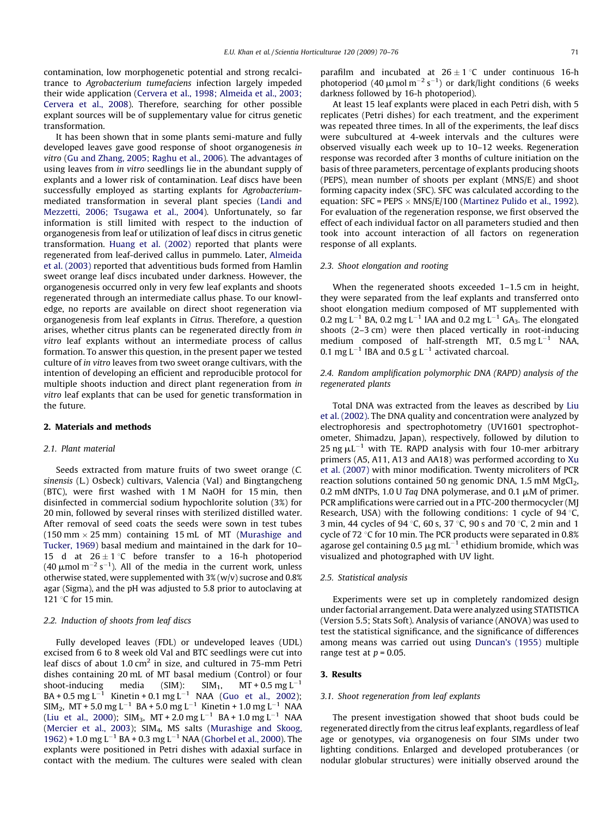contamination, low morphogenetic potential and strong recalcitrance to Agrobacterium tumefaciens infection largely impeded their wide application [\(Cervera et al., 1998; Almeida et al., 2003;](#page-5-0) [Cervera et al., 2008\)](#page-5-0). Therefore, searching for other possible explant sources will be of supplementary value for citrus genetic transformation.

It has been shown that in some plants semi-mature and fully developed leaves gave good response of shoot organogenesis in vitro [\(Gu and Zhang, 2005; Raghu et al., 2006\)](#page-5-0). The advantages of using leaves from in vitro seedlings lie in the abundant supply of explants and a lower risk of contamination. Leaf discs have been successfully employed as starting explants for Agrobacteriummediated transformation in several plant species [\(Landi and](#page-5-0) [Mezzetti, 2006; Tsugawa et al., 2004\)](#page-5-0). Unfortunately, so far information is still limited with respect to the induction of organogenesis from leaf or utilization of leaf discs in citrus genetic transformation. [Huang et al. \(2002\)](#page-5-0) reported that plants were regenerated from leaf-derived callus in pummelo. Later, [Almeida](#page-5-0) [et al. \(2003\)](#page-5-0) reported that adventitious buds formed from Hamlin sweet orange leaf discs incubated under darkness. However, the organogenesis occurred only in very few leaf explants and shoots regenerated through an intermediate callus phase. To our knowledge, no reports are available on direct shoot regeneration via organogenesis from leaf explants in Citrus. Therefore, a question arises, whether citrus plants can be regenerated directly from in vitro leaf explants without an intermediate process of callus formation. To answer this question, in the present paper we tested culture of in vitro leaves from two sweet orange cultivars, with the intention of developing an efficient and reproducible protocol for multiple shoots induction and direct plant regeneration from in vitro leaf explants that can be used for genetic transformation in the future.

# 2. Materials and methods

## 2.1. Plant material

Seeds extracted from mature fruits of two sweet orange (C. sinensis (L.) Osbeck) cultivars, Valencia (Val) and Bingtangcheng (BTC), were first washed with 1 M NaOH for 15 min, then disinfected in commercial sodium hypochlorite solution (3%) for 20 min, followed by several rinses with sterilized distilled water. After removal of seed coats the seeds were sown in test tubes (150 mm  $\times$  25 mm) containing 15 mL of MT [\(Murashige and](#page-5-0) [Tucker, 1969\)](#page-5-0) basal medium and maintained in the dark for 10– 15 d at  $26 \pm 1$  °C before transfer to a 16-h photoperiod (40  $\mu$ mol m<sup>-2</sup> s<sup>-1</sup>). All of the media in the current work, unless otherwise stated, were supplemented with  $3\%$  (w/v) sucrose and 0.8% agar (Sigma), and the pH was adjusted to 5.8 prior to autoclaving at 121 $\degree$ C for 15 min.

#### 2.2. Induction of shoots from leaf discs

Fully developed leaves (FDL) or undeveloped leaves (UDL) excised from 6 to 8 week old Val and BTC seedlings were cut into leaf discs of about 1.0  $\text{cm}^2$  in size, and cultured in 75-mm Petri dishes containing 20 mL of MT basal medium (Control) or four shoot-inducing media (SIM):  $SIM_1$ , MT + 0.5 mg L<sup>-1</sup>  $BA + 0.5$  mg L<sup>-1</sup> Kinetin + 0.1 mg L<sup>-1</sup> NAA ([Guo et al., 2002\)](#page-5-0);  $SIM<sub>2</sub>, MT + 5.0$  mg L<sup>-1</sup> BA + 5.0 mg L<sup>-1</sup> Kinetin + 1.0 mg L<sup>-1</sup> NAA ([Liu et al., 2000\)](#page-5-0); SIM<sub>3</sub>, MT + 2.0 mg L<sup>-1</sup> BA + 1.0 mg L<sup>-1</sup> NAA ([Mercier et al., 2003\)](#page-5-0); SIM<sub>4</sub>, MS salts ([Murashige and Skoog,](#page-5-0)  $1962$ ) + 1.0 mg L<sup>-1</sup> BA + 0.3 mg L<sup>-1</sup> NAA ([Ghorbel et al., 2000\)](#page-5-0). The explants were positioned in Petri dishes with adaxial surface in contact with the medium. The cultures were sealed with clean parafilm and incubated at  $26 \pm 1$  °C under continuous 16-h photoperiod (40  $\mu$ mol m<sup>-2</sup> s<sup>-1</sup>) or dark/light conditions (6 weeks darkness followed by 16-h photoperiod).

At least 15 leaf explants were placed in each Petri dish, with 5 replicates (Petri dishes) for each treatment, and the experiment was repeated three times. In all of the experiments, the leaf discs were subcultured at 4-week intervals and the cultures were observed visually each week up to 10–12 weeks. Regeneration response was recorded after 3 months of culture initiation on the basis of three parameters, percentage of explants producing shoots (PEPS), mean number of shoots per explant (MNS/E) and shoot forming capacity index (SFC). SFC was calculated according to the equation: SFC = PEPS  $\times$  MNS/E/100 [\(Martinez Pulido et al., 1992\)](#page-5-0). For evaluation of the regeneration response, we first observed the effect of each individual factor on all parameters studied and then took into account interaction of all factors on regeneration response of all explants.

# 2.3. Shoot elongation and rooting

When the regenerated shoots exceeded 1–1.5 cm in height, they were separated from the leaf explants and transferred onto shoot elongation medium composed of MT supplemented with 0.2 mg L<sup>-1</sup> BA, 0.2 mg L<sup>-1</sup> IAA and 0.2 mg L<sup>-1</sup> GA<sub>3</sub>. The elongated shoots (2–3 cm) were then placed vertically in root-inducing medium composed of half-strength MT,  $0.5 \text{ mg L}^{-1}$  NAA, 0.1 mg L<sup>-1</sup> IBA and 0.5 g L<sup>-1</sup> activated charcoal.

# 2.4. Random amplification polymorphic DNA (RAPD) analysis of the regenerated plants

Total DNA was extracted from the leaves as described by [Liu](#page-5-0) [et al. \(2002\).](#page-5-0) The DNA quality and concentration were analyzed by electrophoresis and spectrophotometry (UV1601 spectrophotometer, Shimadzu, Japan), respectively, followed by dilution to 25 ng  $\mu L^{-1}$  with TE. RAPD analysis with four 10-mer arbitrary primers (A5, A11, A13 and AA18) was performed according to [Xu](#page-6-0) [et al. \(2007\)](#page-6-0) with minor modification. Twenty microliters of PCR reaction solutions contained 50 ng genomic DNA,  $1.5$  mM MgCl<sub>2</sub>, 0.2 mM dNTPs, 1.0 U Taq DNA polymerase, and 0.1  $\mu$ M of primer. PCR amplifications were carried out in a PTC-200 thermocycler (MJ Research, USA) with the following conditions: 1 cycle of 94  $\degree$ C, 3 min, 44 cycles of 94 °C, 60 s, 37 °C, 90 s and 70 °C, 2 min and 1 cycle of 72  $\degree$ C for 10 min. The PCR products were separated in 0.8% agarose gel containing 0.5  $\mu$ g mL<sup>-1</sup> ethidium bromide, which was visualized and photographed with UV light.

#### 2.5. Statistical analysis

Experiments were set up in completely randomized design under factorial arrangement. Data were analyzed using STATISTICA (Version 5.5; Stats Soft). Analysis of variance (ANOVA) was used to test the statistical significance, and the significance of differences among means was carried out using [Duncan's \(1955\)](#page-5-0) multiple range test at  $p = 0.05$ .

#### 3. Results

#### 3.1. Shoot regeneration from leaf explants

The present investigation showed that shoot buds could be regenerated directly from the citrus leaf explants, regardless of leaf age or genotypes, via organogenesis on four SIMs under two lighting conditions. Enlarged and developed protuberances (or nodular globular structures) were initially observed around the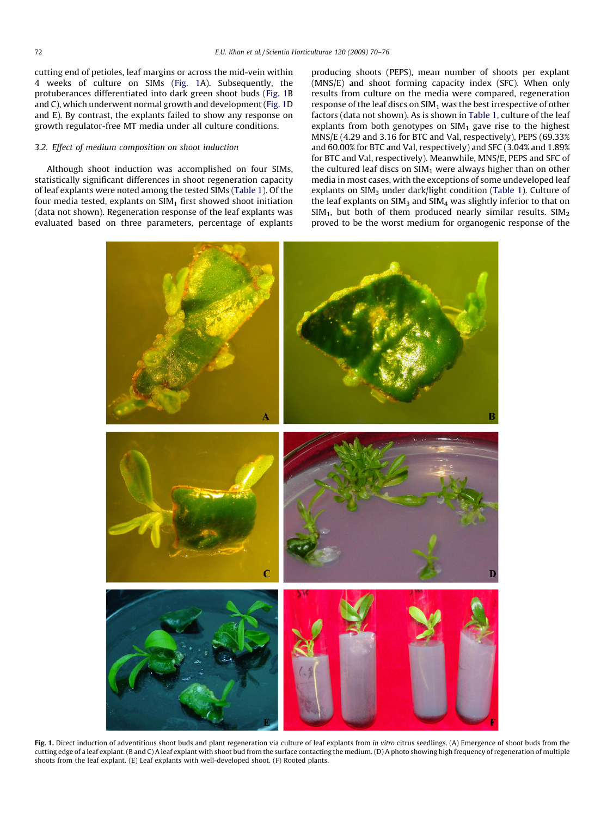<span id="page-2-0"></span>cutting end of petioles, leaf margins or across the mid-vein within 4 weeks of culture on SIMs (Fig. 1A). Subsequently, the protuberances differentiated into dark green shoot buds (Fig. 1B and C), which underwent normal growth and development (Fig. 1D and E). By contrast, the explants failed to show any response on growth regulator-free MT media under all culture conditions.

# 3.2. Effect of medium composition on shoot induction

Although shoot induction was accomplished on four SIMs, statistically significant differences in shoot regeneration capacity of leaf explants were noted among the tested SIMs ([Table 1](#page-3-0)). Of the four media tested, explants on  $SIM<sub>1</sub>$  first showed shoot initiation (data not shown). Regeneration response of the leaf explants was evaluated based on three parameters, percentage of explants producing shoots (PEPS), mean number of shoots per explant (MNS/E) and shoot forming capacity index (SFC). When only results from culture on the media were compared, regeneration response of the leaf discs on  $SIM<sub>1</sub>$  was the best irrespective of other factors (data not shown). As is shown in [Table 1](#page-3-0), culture of the leaf explants from both genotypes on  $SIM<sub>1</sub>$  gave rise to the highest MNS/E (4.29 and 3.16 for BTC and Val, respectively), PEPS (69.33% and 60.00% for BTC and Val, respectively) and SFC (3.04% and 1.89% for BTC and Val, respectively). Meanwhile, MNS/E, PEPS and SFC of the cultured leaf discs on  $SIM<sub>1</sub>$  were always higher than on other media in most cases, with the exceptions of some undeveloped leaf explants on SIM<sub>3</sub> under dark/light condition [\(Table 1\)](#page-3-0). Culture of the leaf explants on  $SIM<sub>3</sub>$  and  $SIM<sub>4</sub>$  was slightly inferior to that on  $SIM<sub>1</sub>$ , but both of them produced nearly similar results. SIM<sub>2</sub> proved to be the worst medium for organogenic response of the



Fig. 1. Direct induction of adventitious shoot buds and plant regeneration via culture of leaf explants from *in vitro* citrus seedlings. (A) Emergence of shoot buds from the cutting edge of a leaf explant. (B and C) A leaf explant with shoot bud from the surface contacting the medium. (D) A photo showing high frequency of regeneration of multiple shoots from the leaf explant. (E) Leaf explants with well-developed shoot. (F) Rooted plants.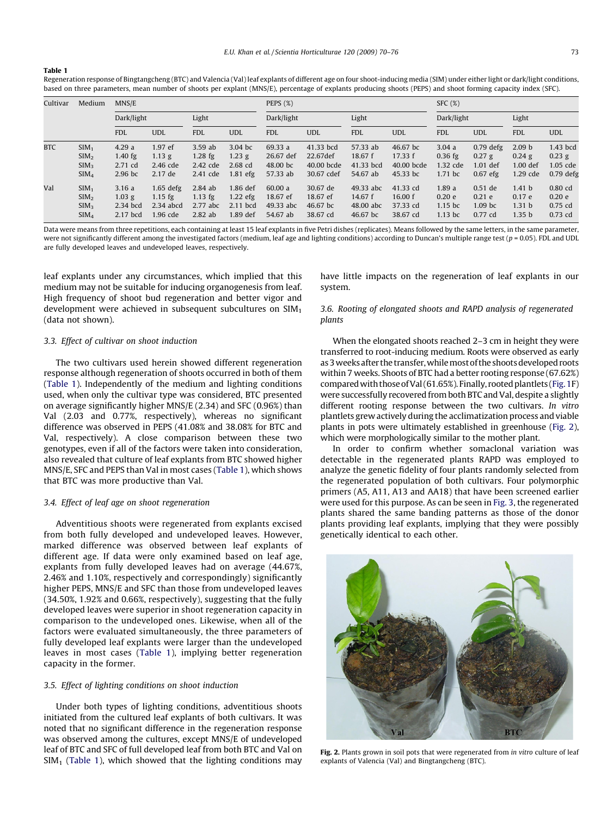#### <span id="page-3-0"></span>Table 1

Regeneration response of Bingtangcheng (BTC) and Valencia (Val) leaf explants of different age on four shoot-inducing media (SIM) under either light or dark/light conditions, based on three parameters, mean number of shoots per explant (MNS/E), percentage of explants producing shoots (PEPS) and shoot forming capacity index (SFC).

| Cultivar   | Medium                                                                       | MNS/E                                      |                                                     |                                                 |                                                  | PEPS $(\%)$                                  |                                                   |                                                 |                                               | SFC(%)                                               |                                                     |                                                                       |                                                 |
|------------|------------------------------------------------------------------------------|--------------------------------------------|-----------------------------------------------------|-------------------------------------------------|--------------------------------------------------|----------------------------------------------|---------------------------------------------------|-------------------------------------------------|-----------------------------------------------|------------------------------------------------------|-----------------------------------------------------|-----------------------------------------------------------------------|-------------------------------------------------|
|            |                                                                              | Dark/light                                 |                                                     | Light                                           |                                                  | Dark/light                                   |                                                   | Light                                           |                                               | Dark/light                                           |                                                     | Light                                                                 |                                                 |
|            |                                                                              | <b>FDL</b>                                 | <b>UDL</b>                                          | <b>FDL</b>                                      | <b>UDL</b>                                       | <b>FDL</b>                                   | <b>UDL</b>                                        | <b>FDL</b>                                      | <b>UDL</b>                                    | <b>FDL</b>                                           | <b>UDL</b>                                          | <b>FDL</b>                                                            | <b>UDL</b>                                      |
| <b>BTC</b> | SIM <sub>1</sub><br>SIM <sub>2</sub><br>SIM <sub>3</sub><br>SIM <sub>4</sub> | 4.29a<br>$1.40$ fg<br>2.71 cd<br>$2.96$ bc | 1.97 ef<br>$1.13$ g<br>2.46 cde<br>2.17 de          | 3.59ab<br>$1.28$ fg<br>2.42 cde<br>2.41 cde     | 3.04 bc<br>$1.23$ g<br>$2.68$ cd<br>$1.81$ efg   | 69.33 a<br>26.67 def<br>48.00 bc<br>57.33 ab | 41.33 bcd<br>22.67def<br>40.00 bcde<br>30.67 cdef | 57.33 ab<br>18.67 f<br>41.33 bcd<br>54.67 ab    | 46.67 bc<br>17.33 f<br>40.00 bcde<br>45.33 bc | 3.04a<br>$0.36$ fg<br>1.32 cde<br>1.71 bc            | $0.79$ defg<br>$0.27$ g<br>$1.01$ def<br>$0.67$ efg | 2.09 <sub>b</sub><br>$0.24$ g<br>$1.00$ def<br>1.29 cde               | 1.43 bcd<br>$0.23$ g<br>1.05 cde<br>$0.79$ defg |
| Val        | SIM <sub>1</sub><br>SIM <sub>2</sub><br>SIM <sub>3</sub><br>SIM <sub>4</sub> | 3.16a<br>$1.03$ g<br>2.34 bcd<br>2.17 bcd  | $1.65$ defg<br>$1.15$ fg<br>$2.34$ abcd<br>1.96 cde | $2.84$ ab<br>$1.13$ fg<br>2.77 abc<br>$2.82$ ab | 1.86 def<br>$1.22$ efg<br>$2.11$ bcd<br>1.89 def | 60.00 a<br>18.67 ef<br>49.33 abc<br>54.67 ab | 30.67 de<br>18.67 ef<br>46.67 bc<br>38.67 cd      | 49.33 abc<br>14.67 $f$<br>48.00 abc<br>46.67 bc | 41.33 cd<br>16.00 f<br>37.33 cd<br>38.67 cd   | 1.89a<br>0.20 <sub>e</sub><br>$1.15$ bc<br>$1.13$ bc | $0.51$ de<br>0.21 e<br>$1.09$ bc<br>$0.77$ cd       | 1.41 <sub>b</sub><br>0.17 e<br>1.31 <sub>b</sub><br>1.35 <sub>b</sub> | $0.80$ cd<br>0.20 e<br>$0.75$ cd<br>$0.73$ cd   |

Data were means from three repetitions, each containing at least 15 leaf explants in five Petri dishes (replicates). Means followed by the same letters, in the same parameter, were not significantly different among the investigated factors (medium, leaf age and lighting conditions) according to Duncan's multiple range test ( $p = 0.05$ ). FDL and UDL are fully developed leaves and undeveloped leaves, respectively.

leaf explants under any circumstances, which implied that this medium may not be suitable for inducing organogenesis from leaf. High frequency of shoot bud regeneration and better vigor and development were achieved in subsequent subcultures on  $SIM<sub>1</sub>$ (data not shown).

# 3.3. Effect of cultivar on shoot induction

The two cultivars used herein showed different regeneration response although regeneration of shoots occurred in both of them (Table 1). Independently of the medium and lighting conditions used, when only the cultivar type was considered, BTC presented on average significantly higher MNS/E (2.34) and SFC (0.96%) than Val (2.03 and 0.77%, respectively), whereas no significant difference was observed in PEPS (41.08% and 38.08% for BTC and Val, respectively). A close comparison between these two genotypes, even if all of the factors were taken into consideration, also revealed that culture of leaf explants from BTC showed higher MNS/E, SFC and PEPS than Val in most cases (Table 1), which shows that BTC was more productive than Val.

# 3.4. Effect of leaf age on shoot regeneration

Adventitious shoots were regenerated from explants excised from both fully developed and undeveloped leaves. However, marked difference was observed between leaf explants of different age. If data were only examined based on leaf age, explants from fully developed leaves had on average (44.67%, 2.46% and 1.10%, respectively and correspondingly) significantly higher PEPS, MNS/E and SFC than those from undeveloped leaves (34.50%, 1.92% and 0.66%, respectively), suggesting that the fully developed leaves were superior in shoot regeneration capacity in comparison to the undeveloped ones. Likewise, when all of the factors were evaluated simultaneously, the three parameters of fully developed leaf explants were larger than the undeveloped leaves in most cases (Table 1), implying better regeneration capacity in the former.

# 3.5. Effect of lighting conditions on shoot induction

Under both types of lighting conditions, adventitious shoots initiated from the cultured leaf explants of both cultivars. It was noted that no significant difference in the regeneration response was observed among the cultures, except MNS/E of undeveloped leaf of BTC and SFC of full developed leaf from both BTC and Val on  $SIM<sub>1</sub>$  (Table 1), which showed that the lighting conditions may have little impacts on the regeneration of leaf explants in our system.

# 3.6. Rooting of elongated shoots and RAPD analysis of regenerated plants

When the elongated shoots reached 2–3 cm in height they were transferred to root-inducing medium. Roots were observed as early as 3 weeks after the transfer, while most of the shoots developed roots within 7 weeks. Shoots of BTC had a better rooting response (67.62%) comparedwith those ofVal (61.65%). Finally, rooted plantlets ([Fig. 1](#page-2-0)F) were successfully recovered from both BTC and Val, despite a slightly different rooting response between the two cultivars. In vitro plantlets grew actively during the acclimatization process and viable plants in pots were ultimately established in greenhouse (Fig. 2), which were morphologically similar to the mother plant.

In order to confirm whether somaclonal variation was detectable in the regenerated plants RAPD was employed to analyze the genetic fidelity of four plants randomly selected from the regenerated population of both cultivars. Four polymorphic primers (A5, A11, A13 and AA18) that have been screened earlier were used for this purpose. As can be seen in [Fig. 3](#page-4-0), the regenerated plants shared the same banding patterns as those of the donor plants providing leaf explants, implying that they were possibly genetically identical to each other.



Fig. 2. Plants grown in soil pots that were regenerated from in vitro culture of leaf explants of Valencia (Val) and Bingtangcheng (BTC).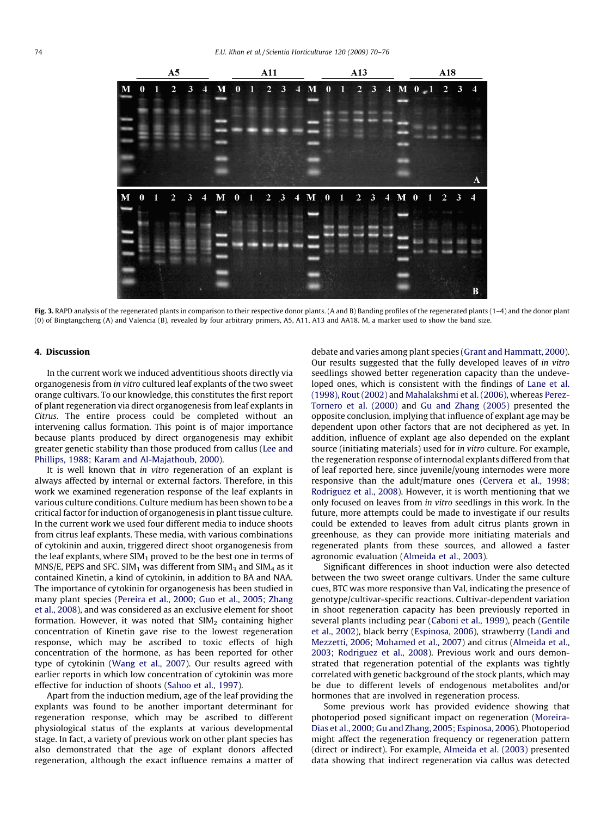<span id="page-4-0"></span>

Fig. 3. RAPD analysis of the regenerated plants in comparison to their respective donor plants. (A and B) Banding profiles of the regenerated plants (1-4) and the donor plant (0) of Bingtangcheng (A) and Valencia (B), revealed by four arbitrary primers, A5, A11, A13 and AA18. M, a marker used to show the band size.

### 4. Discussion

In the current work we induced adventitious shoots directly via organogenesis from in vitro cultured leaf explants of the two sweet orange cultivars. To our knowledge, this constitutes the first report of plant regeneration via direct organogenesis from leaf explants in Citrus. The entire process could be completed without an intervening callus formation. This point is of major importance because plants produced by direct organogenesis may exhibit greater genetic stability than those produced from callus ([Lee and](#page-5-0) [Phillips, 1988; Karam and Al-Majathoub, 2000\)](#page-5-0).

It is well known that in vitro regeneration of an explant is always affected by internal or external factors. Therefore, in this work we examined regeneration response of the leaf explants in various culture conditions. Culture medium has been shown to be a critical factor for induction of organogenesis in plant tissue culture. In the current work we used four different media to induce shoots from citrus leaf explants. These media, with various combinations of cytokinin and auxin, triggered direct shoot organogenesis from the leaf explants, where  $SIM<sub>1</sub>$  proved to be the best one in terms of MNS/E, PEPS and SFC. SIM<sub>1</sub> was different from SIM<sub>3</sub> and SIM<sub>4</sub> as it contained Kinetin, a kind of cytokinin, in addition to BA and NAA. The importance of cytokinin for organogenesis has been studied in many plant species ([Pereira et al., 2000; Guo et al., 2005; Zhang](#page-5-0) [et al., 2008\)](#page-5-0), and was considered as an exclusive element for shoot formation. However, it was noted that  $SIM<sub>2</sub>$  containing higher concentration of Kinetin gave rise to the lowest regeneration response, which may be ascribed to toxic effects of high concentration of the hormone, as has been reported for other type of cytokinin ([Wang et al., 2007\)](#page-6-0). Our results agreed with earlier reports in which low concentration of cytokinin was more effective for induction of shoots ([Sahoo et al., 1997](#page-5-0)).

Apart from the induction medium, age of the leaf providing the explants was found to be another important determinant for regeneration response, which may be ascribed to different physiological status of the explants at various developmental stage. In fact, a variety of previous work on other plant species has also demonstrated that the age of explant donors affected regeneration, although the exact influence remains a matter of debate and varies among plant species ([Grant and Hammatt, 2000\)](#page-5-0). Our results suggested that the fully developed leaves of in vitro seedlings showed better regeneration capacity than the undeveloped ones, which is consistent with the findings of [Lane et al.](#page-5-0) [\(1998\)](#page-5-0), [Rout \(2002\)](#page-5-0) and [Mahalakshmi et al. \(2006\)](#page-5-0), whereas [Perez-](#page-5-0)[Tornero et al. \(2000\)](#page-5-0) and [Gu and Zhang \(2005\)](#page-5-0) presented the opposite conclusion, implying that influence of explant age may be dependent upon other factors that are not deciphered as yet. In addition, influence of explant age also depended on the explant source (initiating materials) used for in vitro culture. For example, the regeneration response of internodal explants differed from that of leaf reported here, since juvenile/young internodes were more responsive than the adult/mature ones [\(Cervera et al., 1998;](#page-5-0) [Rodriguez et al., 2008\)](#page-5-0). However, it is worth mentioning that we only focused on leaves from in vitro seedlings in this work. In the future, more attempts could be made to investigate if our results could be extended to leaves from adult citrus plants grown in greenhouse, as they can provide more initiating materials and regenerated plants from these sources, and allowed a faster agronomic evaluation [\(Almeida et al., 2003](#page-5-0)).

Significant differences in shoot induction were also detected between the two sweet orange cultivars. Under the same culture cues, BTC was more responsive than Val, indicating the presence of genotype/cultivar-specific reactions. Cultivar-dependent variation in shoot regeneration capacity has been previously reported in several plants including pear [\(Caboni et al., 1999\)](#page-5-0), peach [\(Gentile](#page-5-0) [et al., 2002\)](#page-5-0), black berry ([Espinosa, 2006](#page-5-0)), strawberry ([Landi and](#page-5-0) [Mezzetti, 2006; Mohamed et al., 2007\)](#page-5-0) and citrus ([Almeida et al.,](#page-5-0) [2003; Rodriguez et al., 2008](#page-5-0)). Previous work and ours demonstrated that regeneration potential of the explants was tightly correlated with genetic background of the stock plants, which may be due to different levels of endogenous metabolites and/or hormones that are involved in regeneration process.

Some previous work has provided evidence showing that photoperiod posed significant impact on regeneration [\(Moreira-](#page-5-0)[Dias et al., 2000; Gu and Zhang, 2005; Espinosa, 2006](#page-5-0)). Photoperiod might affect the regeneration frequency or regeneration pattern (direct or indirect). For example, [Almeida et al. \(2003\)](#page-5-0) presented data showing that indirect regeneration via callus was detected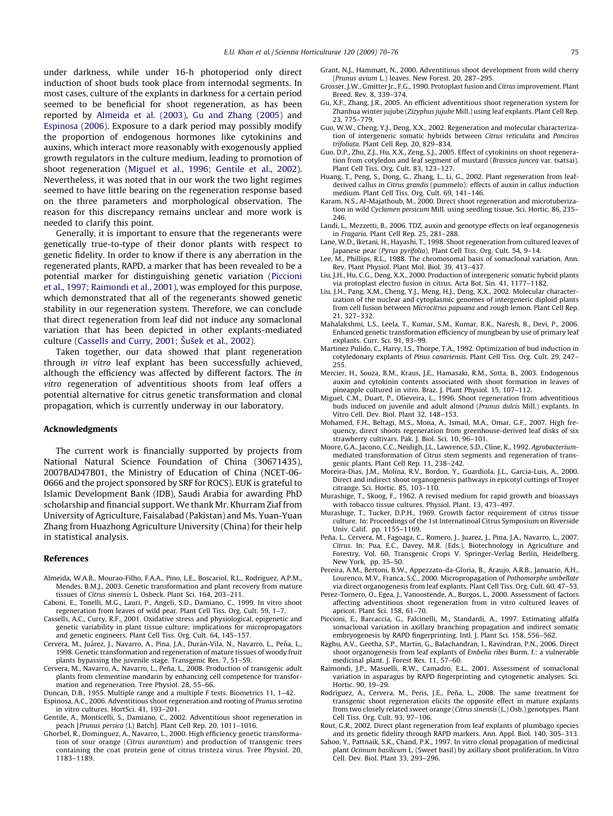<span id="page-5-0"></span>under darkness, while under 16-h photoperiod only direct induction of shoot buds took place from internodal segments. In most cases, culture of the explants in darkness for a certain period seemed to be beneficial for shoot regeneration, as has been reported by Almeida et al. (2003), Gu and Zhang (2005) and Espinosa (2006). Exposure to a dark period may possibly modify the proportion of endogenous hormones like cytokinins and auxins, which interact more reasonably with exogenously applied growth regulators in the culture medium, leading to promotion of shoot regeneration (Miguel et al., 1996; Gentile et al., 2002). Nevertheless, it was noted that in our work the two light regimes seemed to have little bearing on the regeneration response based on the three parameters and morphological observation. The reason for this discrepancy remains unclear and more work is needed to clarify this point.

Generally, it is important to ensure that the regenerants were genetically true-to-type of their donor plants with respect to genetic fidelity. In order to know if there is any aberration in the regenerated plants, RAPD, a marker that has been revealed to be a potential marker for distinguishing genetic variation (Piccioni et al., 1997; Raimondi et al., 2001), was employed for this purpose, which demonstrated that all of the regenerants showed genetic stability in our regeneration system. Therefore, we can conclude that direct regeneration from leaf did not induce any somaclonal variation that has been depicted in other explants-mediated culture (Cassells and Curry, 2001; Susek et al., 2002).

Taken together, our data showed that plant regeneration through in vitro leaf explant has been successfully achieved, although the efficiency was affected by different factors. The in vitro regeneration of adventitious shoots from leaf offers a potential alternative for citrus genetic transformation and clonal propagation, which is currently underway in our laboratory.

# Acknowledgments

The current work is financially supported by projects from National Natural Science Foundation of China (30671435), 2007BAD47B01, the Ministry of Education of China (NCET-06- 0666 and the project sponsored by SRF for ROCS). EUK is grateful to Islamic Development Bank (IDB), Saudi Arabia for awarding PhD scholarship and financial support. We thank Mr. Khurram Ziaf from University of Agriculture, Faisalabad (Pakistan) and Ms. Yuan-Yuan Zhang from Huazhong Agriculture University (China) for their help in statistical analysis.

#### References

- Almeida, W.A.B., Mourao-Filho, F.A.A., Pino, L.E., Boscariol, R.L., Rodriguez, A.P.M., Mendes, B.M.J., 2003. Genetic transformation and plant recovery from mature tissues of Citrus sinensis L. Osbeck. Plant Sci. 164, 203–211.
- Caboni, E., Tonelli, M.G., Lauri, P., Angeli, S.D., Damiano, C., 1999. In vitro shoot regeneration from leaves of wild pear. Plant Cell Tiss. Org. Cult. 59, 1–7.
- Cassells, A.C., Curry, R.F., 2001. Oxidative stress and physiological, epigenetic and genetic variability in plant tissue culture: implications for micropropagators and genetic engineers. Plant Cell Tiss. Org. Cult. 64, 145–157.
- Cervera, M., Juárez, J., Navarro, A., Pina, J.A., Durán-Vila, N., Navarro, L., Peña, L., 1998. Genetic transformation and regeneration of mature tissues of woody fruit plants bypassing the juvenile stage. Transgenic Res. 7, 51–59.
- Cervera, M., Navarro, A., Navarro, L., Peña, L., 2008. Production of transgenic adult plants from clementine mandarin by enhancing cell competence for transformation and regeneration. Tree Physiol. 28, 55–66.
- Duncan, D.B., 1955. Multiple range and a multiple F tests. Biometrics 11, 1–42.
- Espinosa, A.C., 2006. Adventitious shoot regeneration and rooting of Prunus serotina in vitro cultures. HortSci. 41, 193–201.
- Gentile, A., Monticelli, S., Damiano, C., 2002. Adventitious shoot regeneration in peach [Prunus persica (L) Batch]. Plant Cell Rep. 20, 1011–1016.
- Ghorbel, R., Dominguez, A., Navarro, L., 2000. High efficiency genetic transformation of sour orange (Citrus aurantium) and production of transgenic trees containing the coat protein gene of citrus tristeza virus. Tree Physiol. 20, 1183–1189.
- Grant, N.J., Hammatt, N., 2000. Adventitious shoot development from wild cherry (Prunus avium L.) leaves. New Forest. 20, 287–295.
- Grosser, J.W., Gmitter Jr., F.G., 1990. Protoplast fusion and Citrus improvement. Plant Breed. Rev. 8, 339–374.
- Gu, X.F., Zhang, J.R., 2005. An efficient adventitious shoot regeneration system for Zhanhua winter jujube (Zizyphus jujube Mill.) using leaf explants. Plant Cell Rep. 23, 775–779.
- Guo, W.W., Cheng, Y.J., Deng, X.X., 2002. Regeneration and molecular characterization of intergeneric somatic hybrids between Citrus reticulata and Poncirus trifoliata. Plant Cell Rep. 20, 829–834.
- Guo, D.P., Zhu, Z.J., Hu, X.X., Zeng, S.J., 2005. Effect of cytokinins on shoot regeneration from cotyledon and leaf segment of mustard (Brassica juncea var. tsatsai). Plant Cell Tiss. Org. Cult. 83, 123–127.
- Huang, T., Peng, S., Dong, G., Zhang, L., Li, G., 2002. Plant regeneration from leafderived callus in Citrus grandis (pummelo): effects of auxin in callus induction medium. Plant Cell Tiss. Org. Cult. 69, 141–146.
- Karam, N.S., Al-Majathoub, M., 2000. Direct shoot regeneration and microtuberization in wild Cyclamen persicum Mill. using seedling tissue. Sci. Hortic. 86, 235– 246.
- Landi, L., Mezzetti, B., 2006. TDZ, auxin and genotype effects on leaf organogenesis in Fragaria. Plant Cell Rep. 25, 281–288.
- Lane, W.D., Iketani, H., Hayashi, T., 1998. Shoot regeneration from cultured leaves of Japanese pear (Pyrus pyrifolia). Plant Cell Tiss. Org. Cult. 54, 9–14.
- Lee, M., Phillips, R.L., 1988. The chromosomal basis of somaclonal variation. Ann. Rev. Plant Physiol. Plant Mol. Biol. 39, 413–437.
- Liu, J.H., Hu, C.G., Deng, X.X., 2000. Production of intergeneric somatic hybrid plants via protoplast electro fusion in citrus. Acta Bot. Sin. 41, 1177–1182.
- Liu, J.H., Pang, X.M., Cheng, Y.J., Meng, H.J., Deng, X.X., 2002. Molecular characterization of the nuclear and cytoplasmic genomes of intergeneric diploid plants from cell fusion between Microcitrus papuana and rough lemon. Plant Cell Rep. 21, 327–332.
- Mahalakshmi, L.S., Leela, T., Kumar, S.M., Kumar, B.K., Naresh, B., Devi, P., 2006. Enhanced genetic transformation efficiency of mungbean by use of primary leaf explants. Curr. Sci. 91, 93–99.
- Martinez Pulido, C., Harry, I.S., Thorpe, T.A., 1992. Optimization of bud induction in cotyledonary explants of Pinus canariensis. Plant Cell Tiss. Org. Cult. 29, 247– 255.
- Mercier, H., Souza, B.M., Kraus, J.E., Hamasaki, R.M., Sotta, B., 2003. Endogenous auxin and cytokinin contents associated with shoot formation in leaves of pineapple cultured in vitro. Braz. J. Plant Physiol. 15, 107–112.
- Miguel, C.M., Duart, P., Olieveira, L., 1996. Shoot regeneration from adventitious buds induced on juvenile and adult almond (Prunus dulcis Mill.) explants. In Vitro Cell. Dev. Biol. Plant 32, 148–153.
- Mohamed, F.H., Beltagi, M.S., Mona, A., Ismail, M.A., Omar, G.F., 2007. High frequency, direct shoots regeneration from greenhouse-derived leaf disks of six strawberry cultivars. Pak. J. Biol. Sci. 10, 96–101.
- Moore, G.A., Jacono, C.C., Neidigh, J.L., Lawrence, S.D., Cline, K., 1992. Agrobacteriummediated transformation of Citrus stem segments and regeneration of transgenic plants. Plant Cell Rep. 11, 238–242.
- Moreira-Dias, J.M., Molina, R.V., Bordon, Y., Guardiola, J.L., Garcia-Luis, A., 2000. Direct and indirect shoot organogenesis pathways in epicotyl cuttings of Troyer citrange. Sci. Hortic. 85, 103–110.
- Murashige, T., Skoog, F., 1962. A revised medium for rapid growth and bioassays with tobacco tissue cultures. Physiol. Plant. 13, 473–497.
- Murashige, T., Tucker, D.P.H., 1969. Growth factor requirement of citrus tissue culture. In: Proceedings of the 1st Internatinoal Citrus Symposium on Riverside Univ. Calif. pp. 1155–1169.
- Peña, L., Cervera, M., Fagoaga, C., Romero, J., Juarez, J., Pina, J.A., Navarro, L., 2007. Citrus. In: Pua, E.C., Davey, M.R. (Eds.), Biotechnology in Agriculture and Forestry, Vol. 60, Transgenic Crops V. Springer-Verlag Berlin, Heidelberg, New York, pp. 35–50.
- Pereira, A.M., Bertoni, B.W., Appezzato-da-Gloria, B., Araujo, A.R.B., Januario, A.H., Lourenco, M.V., Franca, S.C., 2000. Micropropagation of Pothomorphe umbellate via direct organogenesis from leaf explants. Plant Cell Tiss. Org. Cult. 60, 47–53.
- Perez-Tornero, O., Egea, J., Vanoostende, A., Burgos, L., 2000. Assessment of factors affecting adventitious shoot regeneration from in vitro cultured leaves of apricot. Plant Sci. 158, 61–70.
- Piccioni, E., Barcaccia, G., Falcinelli, M., Standardi, A., 1997. Estimating alfalfa somaclonal variation in axillary branching propagation and indirect somatic embryogenesis by RAPD fingerprinting. Intl. J. Plant Sci. 158, 556–562.
- Raghu, A.V., Geetha, S.P., Martin, G., Balachandran, I., Ravindran, P.N., 2006. Direct shoot organogenesis from leaf explants of Embelia ribes Burm. f.: a vulnerable medicinal plant. J. Forest Res. 11, 57–60.
- Raimondi, J.P., Masuelli, R.W., Camadro, E.L., 2001. Assessment of somaclonal variation in asparagus by RAPD fingerprinting and cytogenetic analyses. Sci. Hortic. 90, 19–29.
- Rodriguez, A., Cervera, M., Peris, J.E., Peña, L., 2008. The same treatment for transgenic shoot regeneration elicits the opposite effect in mature explants from two closely related sweet orange (Citrus sinensis (L.) Osb.) genotypes. Plant Cell Tiss. Org. Cult. 93, 97–106.
- Rout, G.R., 2002. Direct plant regeneration from leaf explants of plumbago species and its genetic fidelity through RAPD markers. Ann. Appl. Biol. 140, 305–313.
- Sahoo, Y., Pattnaik, S.K., Chand, P.K., 1997. In vitro clonal propagation of medicinal plant Ocimum basilicum L. (Sweet basil) by axillary shoot proliferation. In Vitro Cell. Dev. Biol. Plant 33, 293–296.